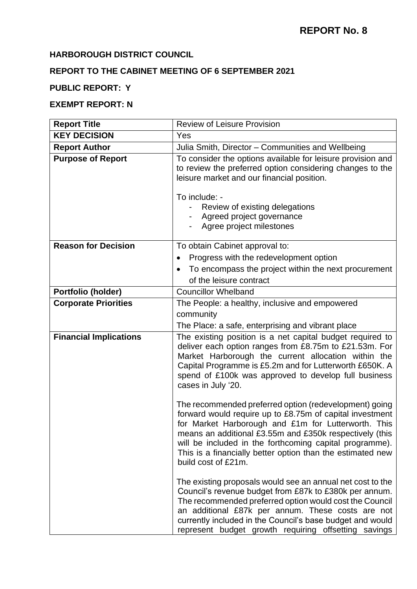# **HARBOROUGH DISTRICT COUNCIL**

# **REPORT TO THE CABINET MEETING OF 6 SEPTEMBER 2021**

# **PUBLIC REPORT: Y**

# **EXEMPT REPORT: N**

| <b>Report Title</b>           | <b>Review of Leisure Provision</b>                                                                                                                                                                                                                                                                                                                                                   |  |
|-------------------------------|--------------------------------------------------------------------------------------------------------------------------------------------------------------------------------------------------------------------------------------------------------------------------------------------------------------------------------------------------------------------------------------|--|
| <b>KEY DECISION</b>           | Yes                                                                                                                                                                                                                                                                                                                                                                                  |  |
| <b>Report Author</b>          | Julia Smith, Director - Communities and Wellbeing                                                                                                                                                                                                                                                                                                                                    |  |
| <b>Purpose of Report</b>      | To consider the options available for leisure provision and<br>to review the preferred option considering changes to the<br>leisure market and our financial position.<br>To include: -<br>Review of existing delegations<br>Agreed project governance<br>Agree project milestones                                                                                                   |  |
| <b>Reason for Decision</b>    | To obtain Cabinet approval to:                                                                                                                                                                                                                                                                                                                                                       |  |
|                               | Progress with the redevelopment option                                                                                                                                                                                                                                                                                                                                               |  |
|                               | To encompass the project within the next procurement<br>of the leisure contract                                                                                                                                                                                                                                                                                                      |  |
| Portfolio (holder)            | <b>Councillor Whelband</b>                                                                                                                                                                                                                                                                                                                                                           |  |
| <b>Corporate Priorities</b>   | The People: a healthy, inclusive and empowered<br>community<br>The Place: a safe, enterprising and vibrant place                                                                                                                                                                                                                                                                     |  |
| <b>Financial Implications</b> | The existing position is a net capital budget required to<br>deliver each option ranges from £8.75m to £21.53m. For<br>Market Harborough the current allocation within the<br>Capital Programme is £5.2m and for Lutterworth £650K. A<br>spend of £100k was approved to develop full business<br>cases in July '20.                                                                  |  |
|                               | The recommended preferred option (redevelopment) going<br>forward would require up to £8.75m of capital investment<br>for Market Harborough and £1m for Lutterworth. This<br>means an additional £3.55m and £350k respectively (this<br>will be included in the forthcoming capital programme).<br>This is a financially better option than the estimated new<br>build cost of £21m. |  |
|                               | The existing proposals would see an annual net cost to the<br>Council's revenue budget from £87k to £380k per annum.<br>The recommended preferred option would cost the Council<br>an additional £87k per annum. These costs are not<br>currently included in the Council's base budget and would<br>represent budget growth requiring offsetting savings                            |  |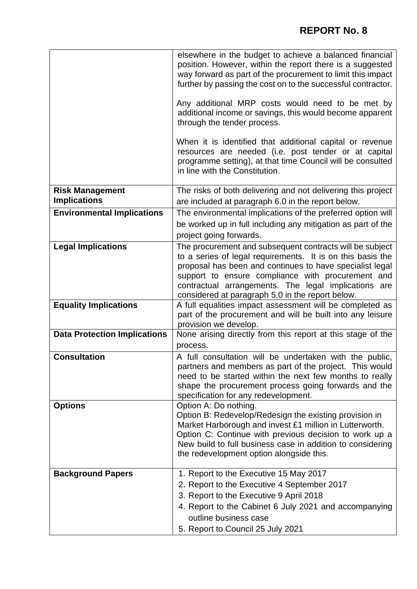|                                     | elsewhere in the budget to achieve a balanced financial<br>position. However, within the report there is a suggested<br>way forward as part of the procurement to limit this impact<br>further by passing the cost on to the successful contractor.                                                                                                 |
|-------------------------------------|-----------------------------------------------------------------------------------------------------------------------------------------------------------------------------------------------------------------------------------------------------------------------------------------------------------------------------------------------------|
|                                     | Any additional MRP costs would need to be met by<br>additional income or savings, this would become apparent<br>through the tender process.                                                                                                                                                                                                         |
|                                     | When it is identified that additional capital or revenue<br>resources are needed (i.e. post tender or at capital<br>programme setting), at that time Council will be consulted<br>in line with the Constitution.                                                                                                                                    |
| <b>Risk Management</b>              | The risks of both delivering and not delivering this project                                                                                                                                                                                                                                                                                        |
| <b>Implications</b>                 | are included at paragraph 6.0 in the report below.                                                                                                                                                                                                                                                                                                  |
| <b>Environmental Implications</b>   | The environmental implications of the preferred option will                                                                                                                                                                                                                                                                                         |
|                                     | be worked up in full including any mitigation as part of the                                                                                                                                                                                                                                                                                        |
|                                     | project going forwards.                                                                                                                                                                                                                                                                                                                             |
| <b>Legal Implications</b>           | The procurement and subsequent contracts will be subject<br>to a series of legal requirements. It is on this basis the<br>proposal has been and continues to have specialist legal<br>support to ensure compliance with procurement and<br>contractual arrangements. The legal implications are<br>considered at paragraph 5.0 in the report below. |
| <b>Equality Implications</b>        | A full equalities impact assessment will be completed as<br>part of the procurement and will be built into any leisure<br>provision we develop.                                                                                                                                                                                                     |
| <b>Data Protection Implications</b> | None arising directly from this report at this stage of the<br>process.                                                                                                                                                                                                                                                                             |
| <b>Consultation</b>                 | A full consultation will be undertaken with the public,<br>partners and members as part of the project. This would<br>need to be started within the next few months to really<br>shape the procurement process going forwards and the<br>specification for any redevelopment.                                                                       |
| <b>Options</b>                      | Option A: Do nothing.<br>Option B: Redevelop/Redesign the existing provision in<br>Market Harborough and invest £1 million in Lutterworth.<br>Option C: Continue with previous decision to work up a<br>New build to full business case in addition to considering<br>the redevelopment option alongside this.                                      |
| <b>Background Papers</b>            | 1. Report to the Executive 15 May 2017                                                                                                                                                                                                                                                                                                              |
|                                     | 2. Report to the Executive 4 September 2017                                                                                                                                                                                                                                                                                                         |
|                                     | 3. Report to the Executive 9 April 2018                                                                                                                                                                                                                                                                                                             |
|                                     | 4. Report to the Cabinet 6 July 2021 and accompanying                                                                                                                                                                                                                                                                                               |
|                                     | outline business case                                                                                                                                                                                                                                                                                                                               |
|                                     | 5. Report to Council 25 July 2021                                                                                                                                                                                                                                                                                                                   |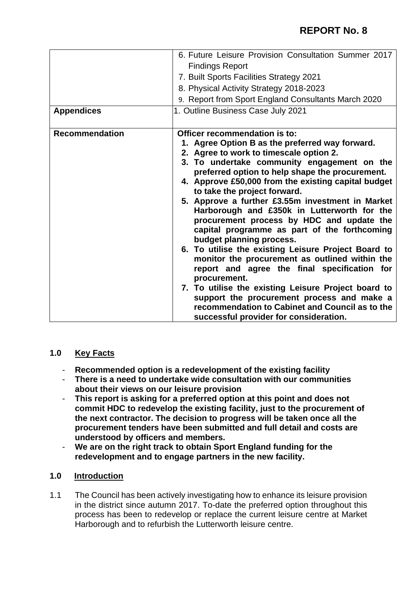|                       | 6. Future Leisure Provision Consultation Summer 2017                                                                                                                                                                                                                                                                                                                                                                                                                                                                                                                                                                                                                                                                                                                                                                                                                                                                        |  |
|-----------------------|-----------------------------------------------------------------------------------------------------------------------------------------------------------------------------------------------------------------------------------------------------------------------------------------------------------------------------------------------------------------------------------------------------------------------------------------------------------------------------------------------------------------------------------------------------------------------------------------------------------------------------------------------------------------------------------------------------------------------------------------------------------------------------------------------------------------------------------------------------------------------------------------------------------------------------|--|
|                       | <b>Findings Report</b>                                                                                                                                                                                                                                                                                                                                                                                                                                                                                                                                                                                                                                                                                                                                                                                                                                                                                                      |  |
|                       | 7. Built Sports Facilities Strategy 2021                                                                                                                                                                                                                                                                                                                                                                                                                                                                                                                                                                                                                                                                                                                                                                                                                                                                                    |  |
|                       | 8. Physical Activity Strategy 2018-2023                                                                                                                                                                                                                                                                                                                                                                                                                                                                                                                                                                                                                                                                                                                                                                                                                                                                                     |  |
|                       | 9. Report from Sport England Consultants March 2020                                                                                                                                                                                                                                                                                                                                                                                                                                                                                                                                                                                                                                                                                                                                                                                                                                                                         |  |
| <b>Appendices</b>     | 1. Outline Business Case July 2021                                                                                                                                                                                                                                                                                                                                                                                                                                                                                                                                                                                                                                                                                                                                                                                                                                                                                          |  |
|                       |                                                                                                                                                                                                                                                                                                                                                                                                                                                                                                                                                                                                                                                                                                                                                                                                                                                                                                                             |  |
| <b>Recommendation</b> | Officer recommendation is to:<br>1. Agree Option B as the preferred way forward.<br>2. Agree to work to timescale option 2.<br>3. To undertake community engagement on the<br>preferred option to help shape the procurement.<br>4. Approve £50,000 from the existing capital budget<br>to take the project forward.<br>5. Approve a further £3.55m investment in Market<br>Harborough and £350k in Lutterworth for the<br>procurement process by HDC and update the<br>capital programme as part of the forthcoming<br>budget planning process.<br>6. To utilise the existing Leisure Project Board to<br>monitor the procurement as outlined within the<br>report and agree the final specification for<br>procurement.<br>7. To utilise the existing Leisure Project board to<br>support the procurement process and make a<br>recommendation to Cabinet and Council as to the<br>successful provider for consideration. |  |

# **1.0 Key Facts**

- **Recommended option is a redevelopment of the existing facility**
- **There is a need to undertake wide consultation with our communities about their views on our leisure provision**
- **This report is asking for a preferred option at this point and does not commit HDC to redevelop the existing facility, just to the procurement of the next contractor. The decision to progress will be taken once all the procurement tenders have been submitted and full detail and costs are understood by officers and members.**
- **We are on the right track to obtain Sport England funding for the redevelopment and to engage partners in the new facility.**

# **1.0 Introduction**

1.1 The Council has been actively investigating how to enhance its leisure provision in the district since autumn 2017. To-date the preferred option throughout this process has been to redevelop or replace the current leisure centre at Market Harborough and to refurbish the Lutterworth leisure centre.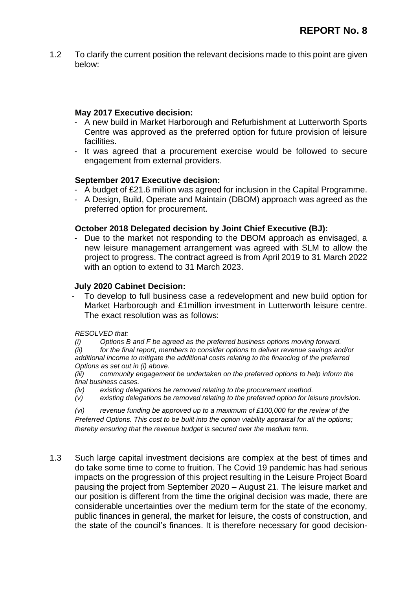1.2 To clarify the current position the relevant decisions made to this point are given below:

### **May 2017 Executive decision:**

- A new build in Market Harborough and Refurbishment at Lutterworth Sports Centre was approved as the preferred option for future provision of leisure facilities.
- It was agreed that a procurement exercise would be followed to secure engagement from external providers.

### **September 2017 Executive decision:**

- A budget of £21.6 million was agreed for inclusion in the Capital Programme.
- A Design, Build, Operate and Maintain (DBOM) approach was agreed as the preferred option for procurement.

### **October 2018 Delegated decision by Joint Chief Executive (BJ):**

- Due to the market not responding to the DBOM approach as envisaged, a new leisure management arrangement was agreed with SLM to allow the project to progress. The contract agreed is from April 2019 to 31 March 2022 with an option to extend to 31 March 2023.

#### **July 2020 Cabinet Decision:**

To develop to full business case a redevelopment and new build option for Market Harborough and £1million investment in Lutterworth leisure centre. The exact resolution was as follows:

#### *RESOLVED that:*

*(i) Options B and F be agreed as the preferred business options moving forward.*

*(ii) for the final report, members to consider options to deliver revenue savings and/or additional income to mitigate the additional costs relating to the financing of the preferred Options as set out in (i) above.* 

*(iii) community engagement be undertaken on the preferred options to help inform the final business cases.*

- *(iv) existing delegations be removed relating to the procurement method.*
- *(v) existing delegations be removed relating to the preferred option for leisure provision.*

*(vi) revenue funding be approved up to a maximum of £100,000 for the review of the Preferred Options. This cost to be built into the option viability appraisal for all the options; thereby ensuring that the revenue budget is secured over the medium term.*

1.3 Such large capital investment decisions are complex at the best of times and do take some time to come to fruition. The Covid 19 pandemic has had serious impacts on the progression of this project resulting in the Leisure Project Board pausing the project from September 2020 – August 21. The leisure market and our position is different from the time the original decision was made, there are considerable uncertainties over the medium term for the state of the economy, public finances in general, the market for leisure, the costs of construction, and the state of the council's finances. It is therefore necessary for good decision-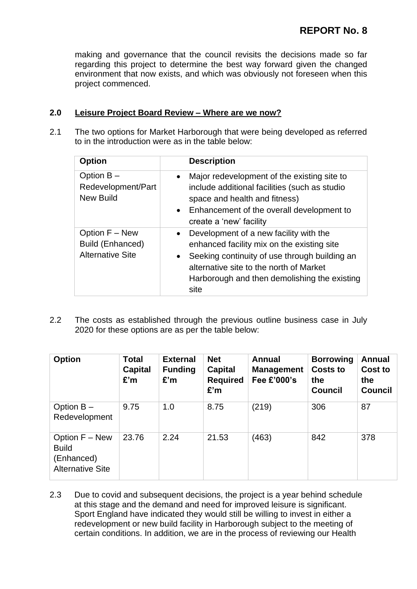making and governance that the council revisits the decisions made so far regarding this project to determine the best way forward given the changed environment that now exists, and which was obviously not foreseen when this project commenced.

# **2.0 Leisure Project Board Review – Where are we now?**

2.1 The two options for Market Harborough that were being developed as referred to in the introduction were as in the table below:

| <b>Option</b>                                                 | <b>Description</b>                                                                                                                                                                                                                                                 |
|---------------------------------------------------------------|--------------------------------------------------------------------------------------------------------------------------------------------------------------------------------------------------------------------------------------------------------------------|
| Option $B -$<br>Redevelopment/Part<br><b>New Build</b>        | Major redevelopment of the existing site to<br>$\bullet$<br>include additional facilities (such as studio<br>space and health and fitness)<br>• Enhancement of the overall development to<br>create a 'new' facility                                               |
| Option F - New<br>Build (Enhanced)<br><b>Alternative Site</b> | Development of a new facility with the<br>$\bullet$<br>enhanced facility mix on the existing site<br>Seeking continuity of use through building an<br>$\bullet$<br>alternative site to the north of Market<br>Harborough and then demolishing the existing<br>site |

2.2 The costs as established through the previous outline business case in July 2020 for these options are as per the table below:

| <b>Option</b>                                                           | <b>Total</b><br><b>Capital</b><br>£'m | <b>External</b><br><b>Funding</b><br>£'m | <b>Net</b><br><b>Capital</b><br><b>Required</b><br>£'m | <b>Annual</b><br><b>Management</b><br>Fee £'000's | <b>Borrowing</b><br><b>Costs to</b><br>the<br><b>Council</b> | <b>Annual</b><br>Cost to<br>the<br><b>Council</b> |
|-------------------------------------------------------------------------|---------------------------------------|------------------------------------------|--------------------------------------------------------|---------------------------------------------------|--------------------------------------------------------------|---------------------------------------------------|
| Option $B -$<br>Redevelopment                                           | 9.75                                  | 1.0                                      | 8.75                                                   | (219)                                             | 306                                                          | 87                                                |
| Option F - New<br><b>Build</b><br>(Enhanced)<br><b>Alternative Site</b> | 23.76                                 | 2.24                                     | 21.53                                                  | (463)                                             | 842                                                          | 378                                               |

2.3 Due to covid and subsequent decisions, the project is a year behind schedule at this stage and the demand and need for improved leisure is significant. Sport England have indicated they would still be willing to invest in either a redevelopment or new build facility in Harborough subject to the meeting of certain conditions. In addition, we are in the process of reviewing our Health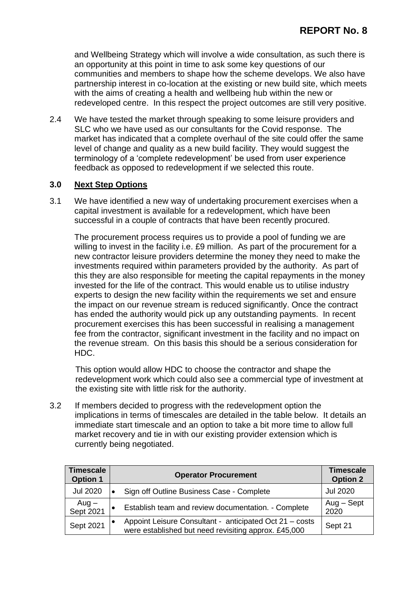and Wellbeing Strategy which will involve a wide consultation, as such there is an opportunity at this point in time to ask some key questions of our communities and members to shape how the scheme develops. We also have partnership interest in co-location at the existing or new build site, which meets with the aims of creating a health and wellbeing hub within the new or redeveloped centre. In this respect the project outcomes are still very positive.

2.4 We have tested the market through speaking to some leisure providers and SLC who we have used as our consultants for the Covid response. The market has indicated that a complete overhaul of the site could offer the same level of change and quality as a new build facility. They would suggest the terminology of a 'complete redevelopment' be used from user experience feedback as opposed to redevelopment if we selected this route.

### **3.0 Next Step Options**

3.1 We have identified a new way of undertaking procurement exercises when a capital investment is available for a redevelopment, which have been successful in a couple of contracts that have been recently procured.

The procurement process requires us to provide a pool of funding we are willing to invest in the facility i.e. £9 million. As part of the procurement for a new contractor leisure providers determine the money they need to make the investments required within parameters provided by the authority. As part of this they are also responsible for meeting the capital repayments in the money invested for the life of the contract. This would enable us to utilise industry experts to design the new facility within the requirements we set and ensure the impact on our revenue stream is reduced significantly. Once the contract has ended the authority would pick up any outstanding payments. In recent procurement exercises this has been successful in realising a management fee from the contractor, significant investment in the facility and no impact on the revenue stream. On this basis this should be a serious consideration for HDC.

This option would allow HDC to choose the contractor and shape the redevelopment work which could also see a commercial type of investment at the existing site with little risk for the authority.

3.2 If members decided to progress with the redevelopment option the implications in terms of timescales are detailed in the table below. It details an immediate start timescale and an option to take a bit more time to allow full market recovery and tie in with our existing provider extension which is currently being negotiated.

| <b>Timescale</b><br><b>Option 1</b> | <b>Operator Procurement</b>                                                                                     | <b>Timescale</b><br><b>Option 2</b> |
|-------------------------------------|-----------------------------------------------------------------------------------------------------------------|-------------------------------------|
| Jul 2020                            | Sign off Outline Business Case - Complete                                                                       | <b>Jul 2020</b>                     |
| Aug –<br>Sept 2021                  | Establish team and review documentation. - Complete                                                             | $Aug - Sept$<br>2020                |
| Sept 2021                           | Appoint Leisure Consultant - anticipated Oct 21 - costs<br>were established but need revisiting approx. £45,000 | Sept 21                             |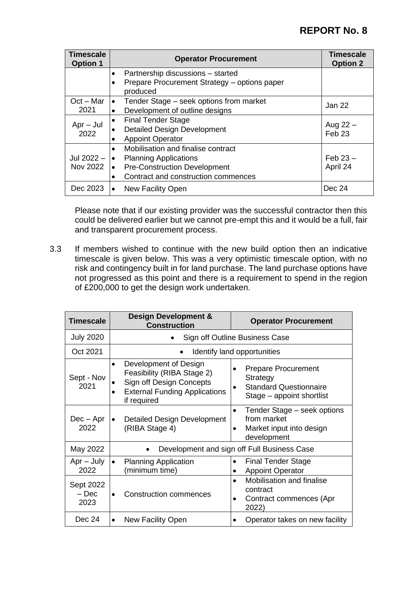# **REPORT No. 8**

| <b>Timescale</b><br><b>Option 1</b> | <b>Operator Procurement</b>                                                                                                                                                                      | <b>Timescale</b><br><b>Option 2</b> |
|-------------------------------------|--------------------------------------------------------------------------------------------------------------------------------------------------------------------------------------------------|-------------------------------------|
|                                     | Partnership discussions - started<br>$\bullet$<br>Prepare Procurement Strategy - options paper<br>$\bullet$<br>produced                                                                          |                                     |
| $Oct - Mar$<br>2021                 | Tender Stage – seek options from market<br>$\bullet$<br>Development of outline designs<br>$\bullet$                                                                                              | Jan 22                              |
| $Apr - Jul$<br>2022                 | <b>Final Tender Stage</b><br>$\bullet$<br><b>Detailed Design Development</b><br><b>Appoint Operator</b>                                                                                          | Aug $22 -$<br>Feb <sub>23</sub>     |
| Jul 2022 -<br>Nov 2022              | Mobilisation and finalise contract<br>$\bullet$<br><b>Planning Applications</b><br>$\bullet$<br><b>Pre-Construction Development</b><br>l e i<br>Contract and construction commences<br>$\bullet$ | $Feb 23 -$<br>April 24              |
| Dec 2023                            | New Facility Open<br>$\bullet$                                                                                                                                                                   | Dec 24                              |

Please note that if our existing provider was the successful contractor then this could be delivered earlier but we cannot pre-empt this and it would be a full, fair and transparent procurement process.

3.3 If members wished to continue with the new build option then an indicative timescale is given below. This was a very optimistic timescale option, with no risk and contingency built in for land purchase. The land purchase options have not progressed as this point and there is a requirement to spend in the region of £200,000 to get the design work undertaken.

| <b>Timescale</b>             | <b>Design Development &amp;</b><br><b>Construction</b>                                                                                 | <b>Operator Procurement</b>                                                                          |  |
|------------------------------|----------------------------------------------------------------------------------------------------------------------------------------|------------------------------------------------------------------------------------------------------|--|
| <b>July 2020</b>             | Sign off Outline Business Case                                                                                                         |                                                                                                      |  |
| Oct 2021                     |                                                                                                                                        | Identify land opportunities                                                                          |  |
| Sept - Nov<br>2021           | Development of Design<br>Feasibility (RIBA Stage 2)<br>Sign off Design Concepts<br><b>External Funding Applications</b><br>if required | <b>Prepare Procurement</b><br>Strategy<br><b>Standard Questionnaire</b><br>Stage – appoint shortlist |  |
| $Dec - Apr$<br>2022          | <b>Detailed Design Development</b><br>(RIBA Stage 4)                                                                                   | Tender Stage – seek options<br>$\bullet$<br>from market<br>Market input into design<br>development   |  |
| May 2022                     | Development and sign off Full Business Case                                                                                            |                                                                                                      |  |
| $Apr - July$<br>2022         | <b>Planning Application</b><br>(minimum time)                                                                                          | <b>Final Tender Stage</b><br><b>Appoint Operator</b>                                                 |  |
| Sept 2022<br>$-$ Dec<br>2023 | <b>Construction commences</b>                                                                                                          | <b>Mobilisation and finalise</b><br>contract<br>Contract commences (Apr<br>2022)                     |  |
| Dec 24                       | New Facility Open<br>$\bullet$                                                                                                         | Operator takes on new facility                                                                       |  |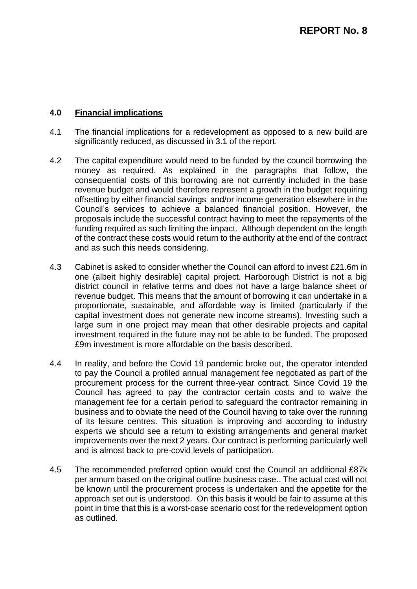## **4.0 Financial implications**

- 4.1 The financial implications for a redevelopment as opposed to a new build are significantly reduced, as discussed in 3.1 of the report.
- 4.2 The capital expenditure would need to be funded by the council borrowing the money as required. As explained in the paragraphs that follow, the consequential costs of this borrowing are not currently included in the base revenue budget and would therefore represent a growth in the budget requiring offsetting by either financial savings and/or income generation elsewhere in the Council's services to achieve a balanced financial position. However, the proposals include the successful contract having to meet the repayments of the funding required as such limiting the impact. Although dependent on the length of the contract these costs would return to the authority at the end of the contract and as such this needs considering.
- 4.3 Cabinet is asked to consider whether the Council can afford to invest £21.6m in one (albeit highly desirable) capital project. Harborough District is not a big district council in relative terms and does not have a large balance sheet or revenue budget. This means that the amount of borrowing it can undertake in a proportionate, sustainable, and affordable way is limited (particularly if the capital investment does not generate new income streams). Investing such a large sum in one project may mean that other desirable projects and capital investment required in the future may not be able to be funded. The proposed £9m investment is more affordable on the basis described.
- 4.4 In reality, and before the Covid 19 pandemic broke out, the operator intended to pay the Council a profiled annual management fee negotiated as part of the procurement process for the current three-year contract. Since Covid 19 the Council has agreed to pay the contractor certain costs and to waive the management fee for a certain period to safeguard the contractor remaining in business and to obviate the need of the Council having to take over the running of its leisure centres. This situation is improving and according to industry experts we should see a return to existing arrangements and general market improvements over the next 2 years. Our contract is performing particularly well and is almost back to pre-covid levels of participation.
- 4.5 The recommended preferred option would cost the Council an additional £87k per annum based on the original outline business case.. The actual cost will not be known until the procurement process is undertaken and the appetite for the approach set out is understood. On this basis it would be fair to assume at this point in time that this is a worst-case scenario cost for the redevelopment option as outlined.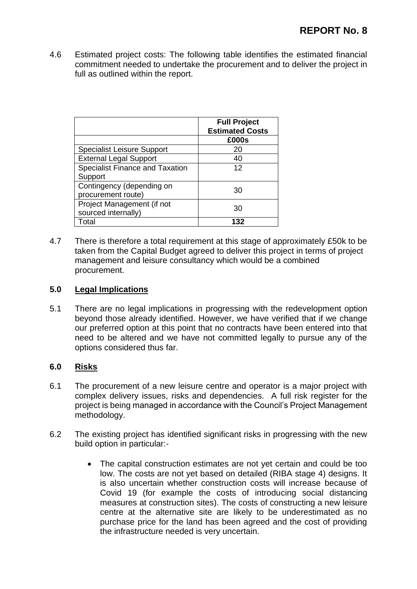4.6 Estimated project costs: The following table identifies the estimated financial commitment needed to undertake the procurement and to deliver the project in full as outlined within the report.

|                                        | <b>Full Project</b><br><b>Estimated Costs</b> |
|----------------------------------------|-----------------------------------------------|
|                                        | £000s                                         |
| <b>Specialist Leisure Support</b>      | 20                                            |
| <b>External Legal Support</b>          | 40                                            |
| <b>Specialist Finance and Taxation</b> | 12                                            |
| Support                                |                                               |
| Contingency (depending on              | 30                                            |
| procurement route)                     |                                               |
| Project Management (if not             | 30.                                           |
| sourced internally)                    |                                               |
| Total                                  |                                               |

4.7 There is therefore a total requirement at this stage of approximately £50k to be taken from the Capital Budget agreed to deliver this project in terms of project management and leisure consultancy which would be a combined procurement.

# **5.0 Legal Implications**

5.1 There are no legal implications in progressing with the redevelopment option beyond those already identified. However, we have verified that if we change our preferred option at this point that no contracts have been entered into that need to be altered and we have not committed legally to pursue any of the options considered thus far.

### **6.0 Risks**

- 6.1 The procurement of a new leisure centre and operator is a major project with complex delivery issues, risks and dependencies. A full risk register for the project is being managed in accordance with the Council's Project Management methodology.
- 6.2 The existing project has identified significant risks in progressing with the new build option in particular:-
	- The capital construction estimates are not yet certain and could be too low. The costs are not yet based on detailed (RIBA stage 4) designs. It is also uncertain whether construction costs will increase because of Covid 19 (for example the costs of introducing social distancing measures at construction sites). The costs of constructing a new leisure centre at the alternative site are likely to be underestimated as no purchase price for the land has been agreed and the cost of providing the infrastructure needed is very uncertain.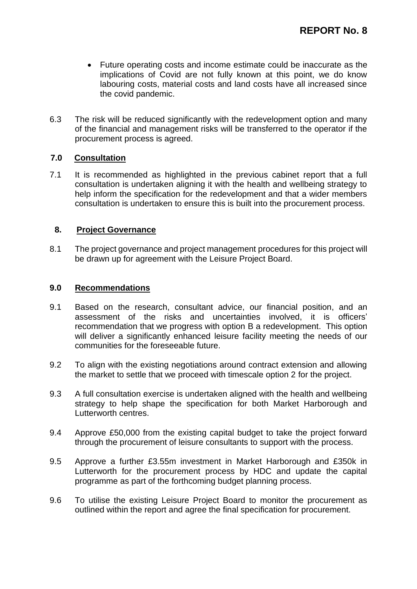- Future operating costs and income estimate could be inaccurate as the implications of Covid are not fully known at this point, we do know labouring costs, material costs and land costs have all increased since the covid pandemic.
- 6.3 The risk will be reduced significantly with the redevelopment option and many of the financial and management risks will be transferred to the operator if the procurement process is agreed.

## **7.0 Consultation**

7.1 It is recommended as highlighted in the previous cabinet report that a full consultation is undertaken aligning it with the health and wellbeing strategy to help inform the specification for the redevelopment and that a wider members consultation is undertaken to ensure this is built into the procurement process.

## **8. Project Governance**

8.1 The project governance and project management procedures for this project will be drawn up for agreement with the Leisure Project Board.

## **9.0 Recommendations**

- 9.1 Based on the research, consultant advice, our financial position, and an assessment of the risks and uncertainties involved, it is officers' recommendation that we progress with option B a redevelopment. This option will deliver a significantly enhanced leisure facility meeting the needs of our communities for the foreseeable future.
- 9.2 To align with the existing negotiations around contract extension and allowing the market to settle that we proceed with timescale option 2 for the project.
- 9.3 A full consultation exercise is undertaken aligned with the health and wellbeing strategy to help shape the specification for both Market Harborough and Lutterworth centres.
- 9.4 Approve £50,000 from the existing capital budget to take the project forward through the procurement of leisure consultants to support with the process.
- 9.5 Approve a further £3.55m investment in Market Harborough and £350k in Lutterworth for the procurement process by HDC and update the capital programme as part of the forthcoming budget planning process.
- 9.6 To utilise the existing Leisure Project Board to monitor the procurement as outlined within the report and agree the final specification for procurement.